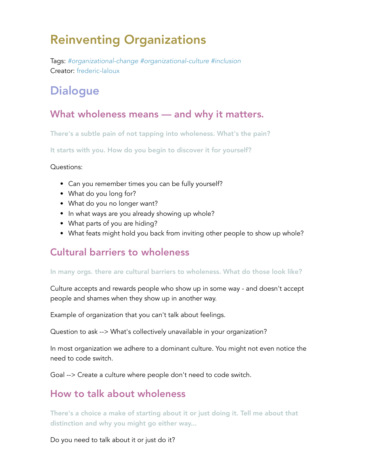# Reinventing Organizations

Tags: *#organizational-change #organizational-culture #inclusion* Creator: frederic-laloux

# **Dialogue**

### What wholeness means — and why it matters.

There's a subtle pain of not tapping into wholeness. What's the pain?

It starts with you. How do you begin to discover it for yourself?

#### Questions:

- Can you remember times you can be fully yourself?
- What do you long for?
- What do you no longer want?
- In what ways are you already showing up whole?
- What parts of you are hiding?
- What feats might hold you back from inviting other people to show up whole?

### Cultural barriers to wholeness

#### In many orgs. there are cultural barriers to wholeness. What do those look like?

Culture accepts and rewards people who show up in some way - and doesn't accept people and shames when they show up in another way.

Example of organization that you can't talk about feelings.

Question to ask --> What's collectively unavailable in your organization?

In most organization we adhere to a dominant culture. You might not even notice the need to code switch.

Goal --> Create a culture where people don't need to code switch.

### How to talk about wholeness

There's a choice a make of starting about it or just doing it. Tell me about that distinction and why you might go either way...

Do you need to talk about it or just do it?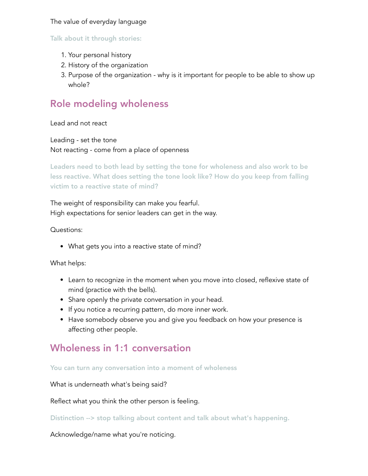#### The value of everyday language

#### Talk about it through stories:

- 1. Your personal history
- 2. History of the organization
- 3. Purpose of the organization why is it important for people to be able to show up whole?

### Role modeling wholeness

Lead and not react

Leading - set the tone Not reacting - come from a place of openness

Leaders need to both lead by setting the tone for wholeness and also work to be less reactive. What does setting the tone look like? How do you keep from falling victim to a reactive state of mind?

The weight of responsibility can make you fearful. High expectations for senior leaders can get in the way.

Questions:

What gets you into a reactive state of mind?

What helps:

- Learn to recognize in the moment when you move into closed, reflexive state of mind (practice with the bells).
- Share openly the private conversation in your head.
- If you notice a recurring pattern, do more inner work.
- Have somebody observe you and give you feedback on how your presence is affecting other people.

#### Wholeness in 1:1 conversation

You can turn any conversation into a moment of wholeness

What is underneath what's being said?

Reflect what you think the other person is feeling.

Distinction --> stop talking about content and talk about what's happening.

Acknowledge/name what you're noticing.